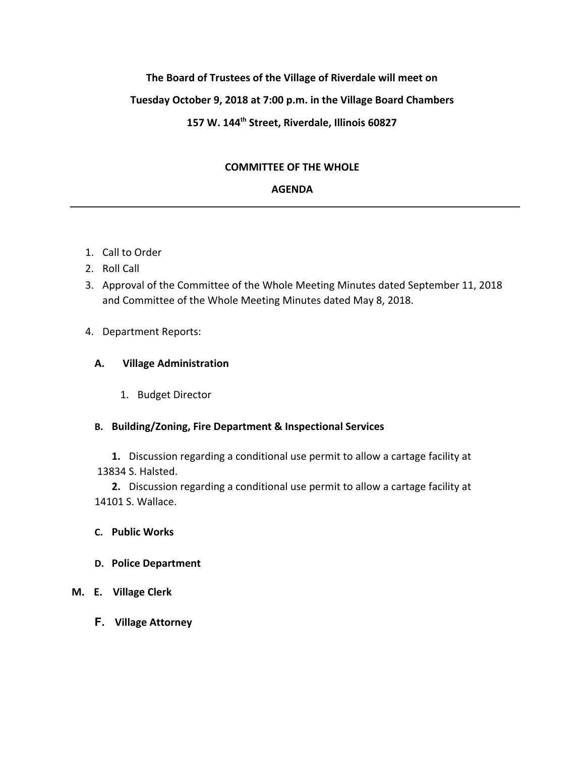# **The Board of Trustees of the Village of Riverdale will meet on**

# **Tuesday October 9, 2018 at 7:00 p.m. in the Village Board Chambers**

# **157 W. 144 th Street, Riverdale, Illinois 60827**

## **COMMITTEE OF THE WHOLE**

## **AGENDA**

- 1. Call to Order
- 2. Roll Call
- 3. Approval of the Committee of the Whole Meeting Minutes dated September 11, 2018 and Committee of the Whole Meeting Minutes dated May 8, 2018.

## 4. Department Reports:

## **A. Village Administration**

1. Budget Director

# **B. Building/Zoning, Fire Department & Inspectional Services**

**1.** Discussion regarding a conditional use permit to allow a cartage facility at 13834 S. Halsted.

**2.** Discussion regarding a conditional use permit to allow a cartage facility at 14101 S. Wallace.

- **C. Public Works**
- **D. Police Department**
- **M. E. Village Clerk**
	- **F. Village Attorney**